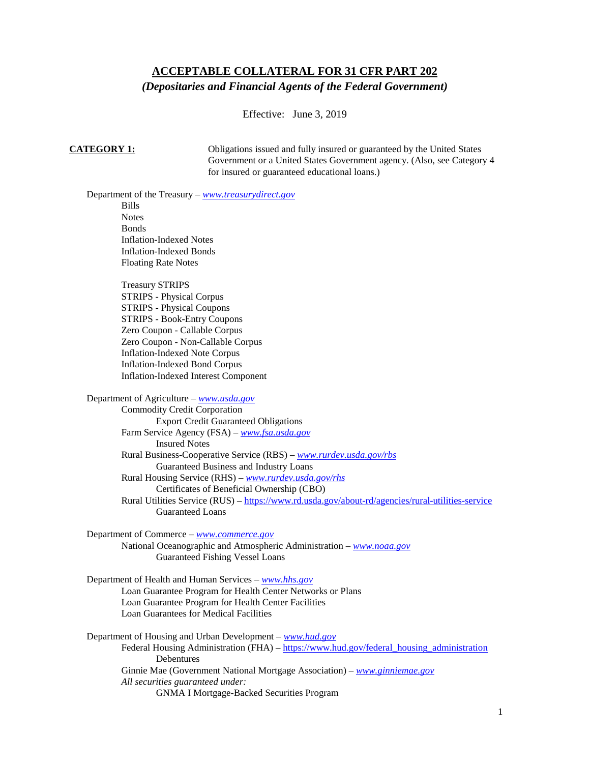# **ACCEPTABLE COLLATERAL FOR 31 CFR PART 202**

## *(Depositaries and Financial Agents of the Federal Government)*

Effective: June 3, 2019

**CATEGORY 1:** Obligations issued and fully insured or guaranteed by the United States Government or a United States Government agency. (Also, see Category 4 for insured or guaranteed educational loans.)

Department of the Treasury – *[www.treasurydirect.gov](http://www.treasurydirect.gov/)* Bills

> **Notes** Bonds Inflation-Indexed Notes Inflation-Indexed Bonds Floating Rate Notes

Treasury STRIPS STRIPS - Physical Corpus

STRIPS - Physical Coupons STRIPS - Book-Entry Coupons Zero Coupon - Callable Corpus Zero Coupon - Non-Callable Corpus Inflation-Indexed Note Corpus Inflation-Indexed Bond Corpus Inflation-Indexed Interest Component

Department of Agriculture – *[www.usda.gov](http://www.usda.gov/)*

Commodity Credit Corporation Export Credit Guaranteed Obligations Farm Service Agency (FSA) – *[www.fsa.usda.gov](http://www.fsa.usda.gov/)* Insured Notes Rural Business-Cooperative Service (RBS) – *[www.rurdev.usda.gov/rbs](http://www.rurdev.usda.gov/rbs)* Guaranteed Business and Industry Loans Rural Housing Service (RHS) – *[www.rurdev.usda.gov/rhs](http://www.rurdev.usda.gov/rhs)* Certificates of Beneficial Ownership (CBO) Rural Utilities Service (RUS) – <https://www.rd.usda.gov/about-rd/agencies/rural-utilities-service> Guaranteed Loans

Department of Commerce – *[www.commerce.gov](http://www.commerce.gov/)* National Oceanographic and Atmospheric Administration – *[www.noaa.gov](http://www.noaa.gov/)* Guaranteed Fishing Vessel Loans

Department of Health and Human Services – *[www.hhs.gov](http://www.hhs.gov/)* Loan Guarantee Program for Health Center Networks or Plans Loan Guarantee Program for Health Center Facilities Loan Guarantees for Medical Facilities

Department of Housing and Urban Development – *[www.hud.gov](http://www.hud.gov/)* Federal Housing Administration (FHA) – [https://www.hud.gov/federal\\_housing\\_administration](https://www.hud.gov/federal_housing_administration) **Debentures** Ginnie Mae (Government National Mortgage Association) – *[www.ginniemae.gov](http://www.ginniemae.gov/) All securities guaranteed under:*  GNMA I Mortgage-Backed Securities Program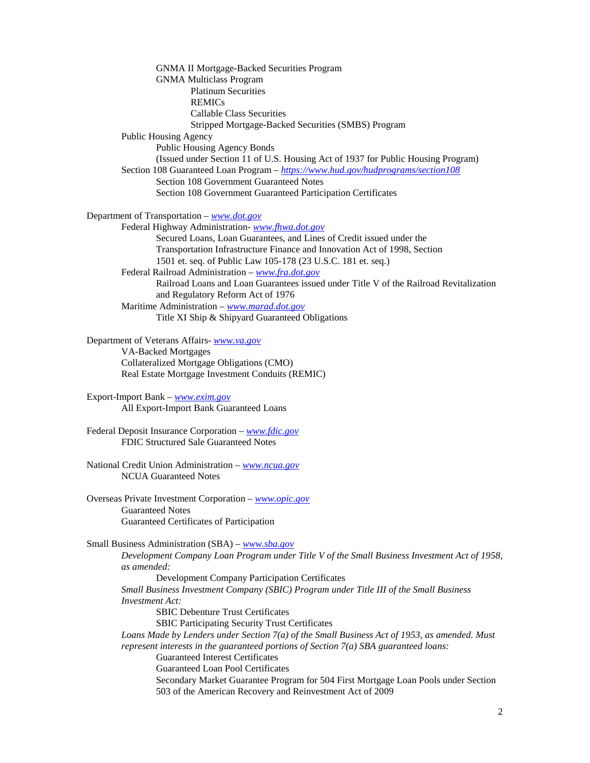GNMA II Mortgage-Backed Securities Program GNMA Multiclass Program Platinum Securities REMICs Callable Class Securities Stripped Mortgage-Backed Securities (SMBS) Program Public Housing Agency Public Housing Agency Bonds (Issued under Section 11 of U.S. Housing Act of 1937 for Public Housing Program) Section 108 Guaranteed Loan Program – *<https://www.hud.gov/hudprograms/section108>* Section 108 Government Guaranteed Notes Section 108 Government Guaranteed Participation Certificates Department of Transportation – *[www.dot.gov](http://www.dot.gov/)* Federal Highway Administration- *[www.fhwa.dot.gov](http://www.fhwa.dot.gov/)* Secured Loans, Loan Guarantees, and Lines of Credit issued under the Transportation Infrastructure Finance and Innovation Act of 1998, Section 1501 et. seq. of Public Law 105-178 (23 U.S.C. 181 et. seq.) Federal Railroad Administration – *[www.fra.dot.gov](http://www.fra.dot.gov/)* Railroad Loans and Loan Guarantees issued under Title V of the Railroad Revitalization and Regulatory Reform Act of 1976 Maritime Administration – *[www.marad.dot.gov](http://www.marad.dot.gov/)* Title XI Ship & Shipyard Guaranteed Obligations Department of Veterans Affairs- *[www.va.gov](http://www.va.gov/)* VA-Backed Mortgages Collateralized Mortgage Obligations (CMO) Real Estate Mortgage Investment Conduits (REMIC) Export-Import Bank – *[www.exim.gov](http://www.exim.gov/)* All Export-Import Bank Guaranteed Loans Federal Deposit Insurance Corporation – *[www.fdic.gov](http://www.fdic.gov/)* FDIC Structured Sale Guaranteed Notes National Credit Union Administration – *[www.ncua.gov](http://www.ncua.gov/)* NCUA Guaranteed Notes Overseas Private Investment Corporation – *[www.opic.gov](http://www.opic.gov/)* Guaranteed Notes Guaranteed Certificates of Participation Small Business Administration (SBA) – *[www.sba.gov](http://www.sba.gov/) Development Company Loan Program under Title V of the Small Business Investment Act of 1958, as amended:*  Development Company Participation Certificates *Small Business Investment Company (SBIC) Program under Title III of the Small Business Investment Act:*  SBIC Debenture Trust Certificates SBIC Participating Security Trust Certificates *Loans Made by Lenders under Section 7(a) of the Small Business Act of 1953, as amended. Must represent interests in the guaranteed portions of Section 7(a) SBA guaranteed loans:*  Guaranteed Interest Certificates Guaranteed Loan Pool Certificates Secondary Market Guarantee Program for 504 First Mortgage Loan Pools under Section 503 of the American Recovery and Reinvestment Act of 2009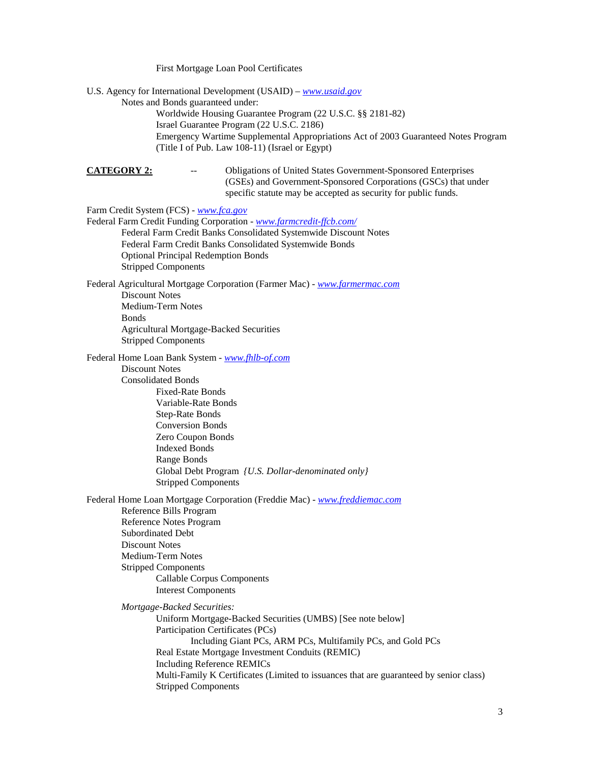First Mortgage Loan Pool Certificates

U.S. Agency for International Development (USAID) – *[www.usaid.gov](http://www.usaid.gov/)* Notes and Bonds guaranteed under: Worldwide Housing Guarantee Program (22 U.S.C. §§ 2181-82) Israel Guarantee Program (22 U.S.C. 2186) Emergency Wartime Supplemental Appropriations Act of 2003 Guaranteed Notes Program (Title I of Pub. Law 108-11) (Israel or Egypt) **CATEGORY 2:** -- Obligations of United States Government-Sponsored Enterprises (GSEs) and Government-Sponsored Corporations (GSCs) that under specific statute may be accepted as security for public funds. Farm Credit System (FCS) - *[www.fca.gov](http://www.fca.gov/)* Federal Farm Credit Funding Corporation - *[www.farmcredit-ffcb.com/](http://www.farmcredit-ffcb.com/)* Federal Farm Credit Banks Consolidated Systemwide Discount Notes Federal Farm Credit Banks Consolidated Systemwide Bonds Optional Principal Redemption Bonds Stripped Components Federal Agricultural Mortgage Corporation (Farmer Mac) - *[www.farmermac.com](http://www.farmermac.com/)* Discount Notes Medium-Term Notes Bonds Agricultural Mortgage-Backed Securities Stripped Components Federal Home Loan Bank System - *[www.fhlb-of.com](http://www.fhlb-of.com/)* Discount Notes Consolidated Bonds Fixed-Rate Bonds Variable-Rate Bonds Step-Rate Bonds Conversion Bonds Zero Coupon Bonds Indexed Bonds Range Bonds Global Debt Program *{U.S. Dollar-denominated only}* Stripped Components Federal Home Loan Mortgage Corporation (Freddie Mac) - *[www.freddiemac.com](http://www.freddiemac.com/)* Reference Bills Program Reference Notes Program Subordinated Debt Discount Notes Medium-Term Notes Stripped Components Callable Corpus Components Interest Components *Mortgage-Backed Securities:* Uniform Mortgage-Backed Securities (UMBS) [See note below] Participation Certificates (PCs) Including Giant PCs, ARM PCs, Multifamily PCs, and Gold PCs Real Estate Mortgage Investment Conduits (REMIC) Including Reference REMICs Multi-Family K Certificates (Limited to issuances that are guaranteed by senior class) Stripped Components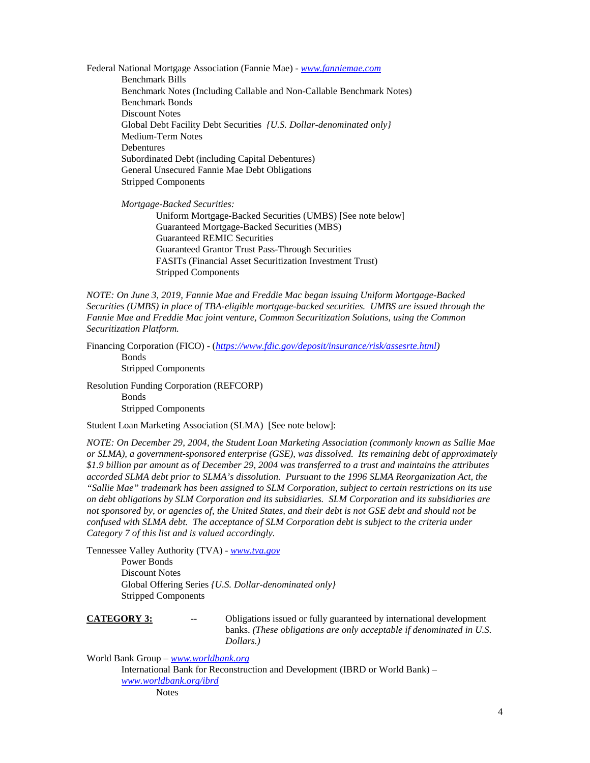Federal National Mortgage Association (Fannie Mae) - *[www.fanniemae.com](http://www.fanniemae.com/)* Benchmark Bills Benchmark Notes (Including Callable and Non-Callable Benchmark Notes) Benchmark Bonds Discount Notes Global Debt Facility Debt Securities *{U.S. Dollar-denominated only}* Medium-Term Notes Debentures Subordinated Debt (including Capital Debentures) General Unsecured Fannie Mae Debt Obligations Stripped Components

*Mortgage-Backed Securities:*

Uniform Mortgage-Backed Securities (UMBS) [See note below] Guaranteed Mortgage-Backed Securities (MBS) Guaranteed REMIC Securities Guaranteed Grantor Trust Pass-Through Securities FASITs (Financial Asset Securitization Investment Trust) Stripped Components

*NOTE: On June 3, 2019, Fannie Mae and Freddie Mac began issuing Uniform Mortgage-Backed Securities (UMBS) in place of TBA-eligible mortgage-backed securities. UMBS are issued through the Fannie Mae and Freddie Mac joint venture, Common Securitization Solutions, using the Common Securitization Platform.*

Financing Corporation (FICO) - (*[https://www.fdic.gov/deposit/insurance/risk/assesrte.html\)](https://www.fdic.gov/deposit/insurance/risk/assesrte.html)* Bonds

Stripped Components

Resolution Funding Corporation (REFCORP) Bonds

Stripped Components

Student Loan Marketing Association (SLMA) [See note below]:

*NOTE: On December 29, 2004, the Student Loan Marketing Association (commonly known as Sallie Mae or SLMA), a government-sponsored enterprise (GSE), was dissolved. Its remaining debt of approximately \$1.9 billion par amount as of December 29, 2004 was transferred to a trust and maintains the attributes accorded SLMA debt prior to SLMA's dissolution. Pursuant to the 1996 SLMA Reorganization Act, the "Sallie Mae" trademark has been assigned to SLM Corporation, subject to certain restrictions on its use on debt obligations by SLM Corporation and its subsidiaries. SLM Corporation and its subsidiaries are not sponsored by, or agencies of, the United States, and their debt is not GSE debt and should not be confused with SLMA debt. The acceptance of SLM Corporation debt is subject to the criteria under Category 7 of this list and is valued accordingly.*

Tennessee Valley Authority (TVA) - *[www.tva.gov](http://www.tva.gov/)*

Power Bonds Discount Notes Global Offering Series *{U.S. Dollar-denominated only}* Stripped Components

**CATEGORY 3:** -- Obligations issued or fully guaranteed by international development banks. *(These obligations are only acceptable if denominated in U.S. Dollars.)* 

World Bank Group – *[www.worldbank.org](http://www.worldbank.org/)* International Bank for Reconstruction and Development (IBRD or World Bank) – *[www.worldbank.org/ibrd](http://www.worldbank.org/ibrd)* **Notes**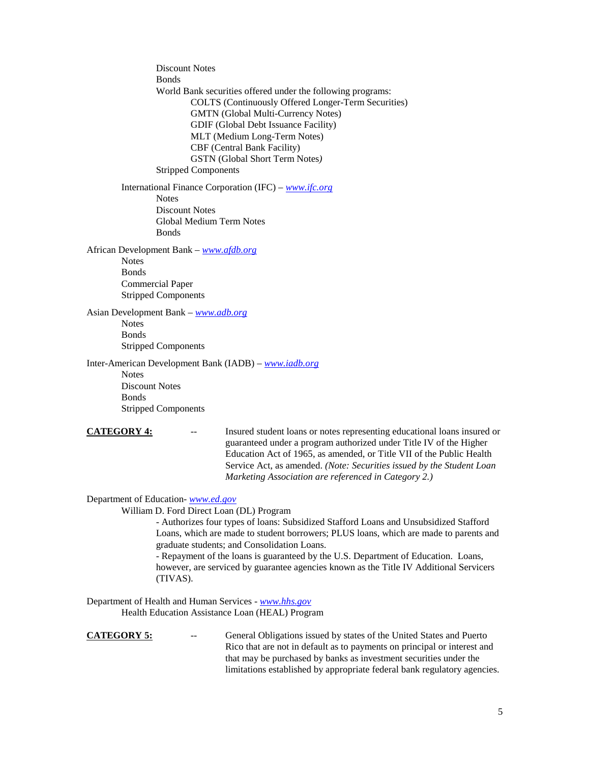Discount Notes Bonds World Bank securities offered under the following programs: COLTS (Continuously Offered Longer-Term Securities) GMTN (Global Multi-Currency Notes) GDIF (Global Debt Issuance Facility) MLT (Medium Long-Term Notes) CBF (Central Bank Facility) GSTN (Global Short Term Notes*)* Stripped Components International Finance Corporation (IFC) – *[www.ifc.org](http://www.ifc.org/)* **Notes** Discount Notes Global Medium Term Notes Bonds African Development Bank – *[www.afdb.org](http://www.afdb.org/)* Notes Bonds Commercial Paper Stripped Components Asian Development Bank – *[www.adb.org](http://www.adb.org/)* **Notes** Bonds Stripped Components Inter-American Development Bank (IADB) – *[www.iadb.org](http://www.iadb.org/)* **Notes** Discount Notes Bonds Stripped Components **CATEGORY 4:** -- Insured student loans or notes representing educational loans insured or guaranteed under a program authorized under Title IV of the Higher

Education Act of 1965, as amended, or Title VII of the Public Health Service Act, as amended. *(Note: Securities issued by the Student Loan Marketing Association are referenced in Category 2.)*

Department of Education- *[www.ed.gov](http://www.ed.gov/)*

### William D. Ford Direct Loan (DL) Program

- Authorizes four types of loans: Subsidized Stafford Loans and Unsubsidized Stafford Loans, which are made to student borrowers; PLUS loans, which are made to parents and graduate students; and Consolidation Loans.

- Repayment of the loans is guaranteed by the U.S. Department of Education. Loans, however, are serviced by guarantee agencies known as the Title IV Additional Servicers (TIVAS).

Department of Health and Human Services - *[www.hhs.gov](http://www.hhs.gov/)* Health Education Assistance Loan (HEAL) Program

**CATEGORY 5:** -- General Obligations issued by states of the United States and Puerto Rico that are not in default as to payments on principal or interest and that may be purchased by banks as investment securities under the limitations established by appropriate federal bank regulatory agencies.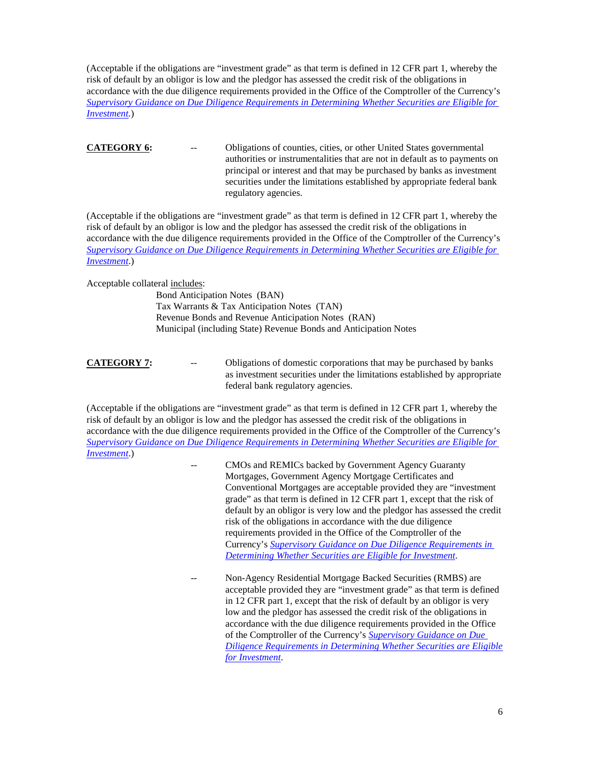(Acceptable if the obligations are "investment grade" as that term is defined in 12 CFR part 1, whereby the risk of default by an obligor is low and the pledgor has assessed the credit risk of the obligations in accordance with the due diligence requirements provided in the Office of the Comptroller of the Currency's *Supervisory [Guidance on Due Diligence Requirements in Determining Whether Securities are Eligible for](http://www.occ.gov/news-issuances/bulletins/2012/bulletin-2012-18.html)  [Investment.](http://www.occ.gov/news-issuances/bulletins/2012/bulletin-2012-18.html)*)

**CATEGORY 6:** -- Obligations of counties, cities, or other United States governmental authorities or instrumentalities that are not in default as to payments on principal or interest and that may be purchased by banks as investment securities under the limitations established by appropriate federal bank regulatory agencies.

(Acceptable if the obligations are "investment grade" as that term is defined in 12 CFR part 1, whereby the risk of default by an obligor is low and the pledgor has assessed the credit risk of the obligations in accordance with the due diligence requirements provided in the Office of the Comptroller of the Currency's *[Supervisory Guidance on Due Diligence Requirements in Determining Whether Securities are Eligible for](http://www.occ.gov/news-issuances/bulletins/2012/bulletin-2012-18.html)  [Investment](http://www.occ.gov/news-issuances/bulletins/2012/bulletin-2012-18.html)*.)

Acceptable collateral includes:

Bond Anticipation Notes (BAN) Tax Warrants & Tax Anticipation Notes (TAN) Revenue Bonds and Revenue Anticipation Notes (RAN) Municipal (including State) Revenue Bonds and Anticipation Notes

**CATEGORY 7:** -- Obligations of domestic corporations that may be purchased by banks as investment securities under the limitations established by appropriate federal bank regulatory agencies.

(Acceptable if the obligations are "investment grade" as that term is defined in 12 CFR part 1, whereby the risk of default by an obligor is low and the pledgor has assessed the credit risk of the obligations in accordance with the due diligence requirements provided in the Office of the Comptroller of the Currency's *[Supervisory Guidance on Due Diligence Requirements in Determining Whether Securities are Eligible for](http://www.occ.gov/news-issuances/bulletins/2012/bulletin-2012-18.html)  [Investment](http://www.occ.gov/news-issuances/bulletins/2012/bulletin-2012-18.html)*.)

- CMOs and REMICs backed by Government Agency Guaranty Mortgages, Government Agency Mortgage Certificates and Conventional Mortgages are acceptable provided they are "investment grade" as that term is defined in 12 CFR part 1, except that the risk of default by an obligor is very low and the pledgor has assessed the credit risk of the obligations in accordance with the due diligence requirements provided in the Office of the Comptroller of the Currency's *[Supervisory Guidance on Due Diligence Requirements in](http://www.occ.gov/news-issuances/bulletins/2012/bulletin-2012-18.html)  [Determining Whether Securities are Eligible for Investment](http://www.occ.gov/news-issuances/bulletins/2012/bulletin-2012-18.html)*.
- Non-Agency Residential Mortgage Backed Securities (RMBS) are acceptable provided they are "investment grade" as that term is defined in 12 CFR part 1, except that the risk of default by an obligor is very low and the pledgor has assessed the credit risk of the obligations in accordance with the due diligence requirements provided in the Office of the Comptroller of the Currency's *[Supervisory Guidance on Due](http://www.occ.gov/news-issuances/bulletins/2012/bulletin-2012-18.html)  [Diligence Requirements in Determining Whether Securities are Eligible](http://www.occ.gov/news-issuances/bulletins/2012/bulletin-2012-18.html)  [for Investment](http://www.occ.gov/news-issuances/bulletins/2012/bulletin-2012-18.html)*.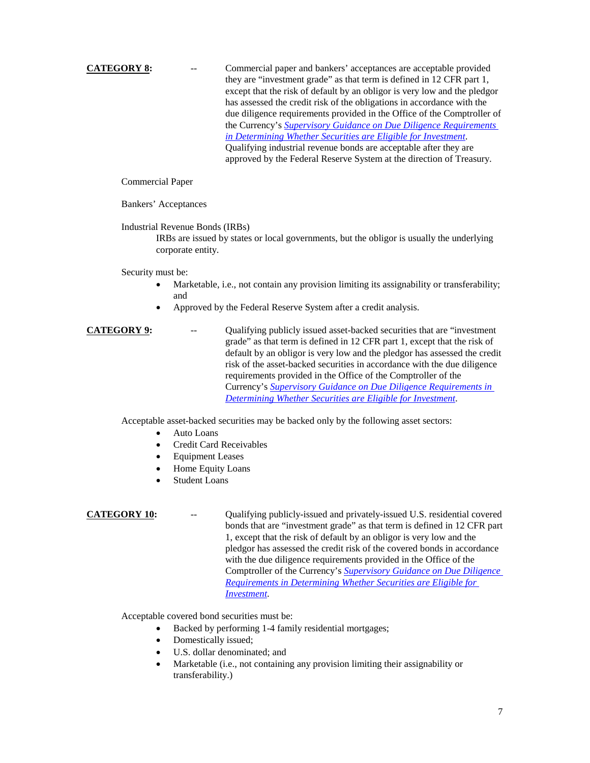**CATEGORY 8:** -- Commercial paper and bankers' acceptances are acceptable provided they are "investment grade" as that term is defined in 12 CFR part 1, except that the risk of default by an obligor is very low and the pledgor has assessed the credit risk of the obligations in accordance with the due diligence requirements provided in the Office of the Comptroller of the Currency's *[Supervisory Guidance on Due Diligence Requirements](http://www.occ.gov/news-issuances/bulletins/2012/bulletin-2012-18.html)  [in Determining Whether Securities are Eligible for Investment](http://www.occ.gov/news-issuances/bulletins/2012/bulletin-2012-18.html)*. Qualifying industrial revenue bonds are acceptable after they are approved by the Federal Reserve System at the direction of Treasury.

### Commercial Paper

Bankers' Acceptances

Industrial Revenue Bonds (IRBs)

IRBs are issued by states or local governments, but the obligor is usually the underlying corporate entity.

Security must be:

- Marketable, i.e., not contain any provision limiting its assignability or transferability; and
- Approved by the Federal Reserve System after a credit analysis.
- **CATEGORY 9:** -- Oualifying publicly issued asset-backed securities that are "investment" grade" as that term is defined in 12 CFR part 1, except that the risk of default by an obligor is very low and the pledgor has assessed the credit risk of the asset-backed securities in accordance with the due diligence requirements provided in the Office of the Comptroller of the Currency's *[Supervisory Guidance on Due Diligence Requirements in](http://www.occ.gov/news-issuances/bulletins/2012/bulletin-2012-18.html)  [Determining Whether Securities are Eligible for Investment](http://www.occ.gov/news-issuances/bulletins/2012/bulletin-2012-18.html)*.

Acceptable asset-backed securities may be backed only by the following asset sectors:

- Auto Loans
- Credit Card Receivables
- Equipment Leases
- Home Equity Loans
- Student Loans

**CATEGORY 10:** -- Qualifying publicly-issued and privately-issued U.S. residential covered bonds that are "investment grade" as that term is defined in 12 CFR part 1, except that the risk of default by an obligor is very low and the pledgor has assessed the credit risk of the covered bonds in accordance with the due diligence requirements provided in the Office of the Comptroller of the Currency's *[Supervisory Guidance on Due Diligence](http://www.occ.gov/news-issuances/bulletins/2012/bulletin-2012-18.html)  [Requirements in Determining Whether Securities are Eligible for](http://www.occ.gov/news-issuances/bulletins/2012/bulletin-2012-18.html)  [Investment](http://www.occ.gov/news-issuances/bulletins/2012/bulletin-2012-18.html)*.

Acceptable covered bond securities must be:

- Backed by performing 1-4 family residential mortgages;
- Domestically issued;
- U.S. dollar denominated; and
- Marketable (i.e., not containing any provision limiting their assignability or transferability.)